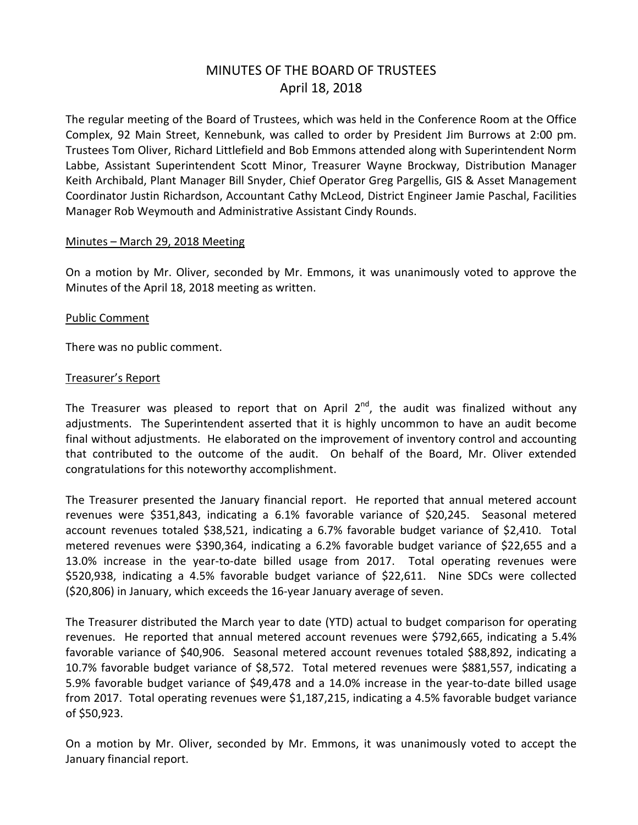# MINUTES OF THE BOARD OF TRUSTEES April 18, 2018

The regular meeting of the Board of Trustees, which was held in the Conference Room at the Office Complex, 92 Main Street, Kennebunk, was called to order by President Jim Burrows at 2:00 pm. Trustees Tom Oliver, Richard Littlefield and Bob Emmons attended along with Superintendent Norm Labbe, Assistant Superintendent Scott Minor, Treasurer Wayne Brockway, Distribution Manager Keith Archibald, Plant Manager Bill Snyder, Chief Operator Greg Pargellis, GIS & Asset Management Coordinator Justin Richardson, Accountant Cathy McLeod, District Engineer Jamie Paschal, Facilities Manager Rob Weymouth and Administrative Assistant Cindy Rounds.

#### Minutes – March 29, 2018 Meeting

On a motion by Mr. Oliver, seconded by Mr. Emmons, it was unanimously voted to approve the Minutes of the April 18, 2018 meeting as written.

#### Public Comment

There was no public comment.

#### Treasurer's Report

The Treasurer was pleased to report that on April  $2^{nd}$ , the audit was finalized without any adjustments. The Superintendent asserted that it is highly uncommon to have an audit become final without adjustments. He elaborated on the improvement of inventory control and accounting that contributed to the outcome of the audit. On behalf of the Board, Mr. Oliver extended congratulations for this noteworthy accomplishment.

The Treasurer presented the January financial report. He reported that annual metered account revenues were \$351,843, indicating a 6.1% favorable variance of \$20,245. Seasonal metered account revenues totaled \$38,521, indicating a 6.7% favorable budget variance of \$2,410. Total metered revenues were \$390,364, indicating a 6.2% favorable budget variance of \$22,655 and a 13.0% increase in the year-to-date billed usage from 2017. Total operating revenues were \$520,938, indicating a 4.5% favorable budget variance of \$22,611. Nine SDCs were collected (\$20,806) in January, which exceeds the 16-year January average of seven.

The Treasurer distributed the March year to date (YTD) actual to budget comparison for operating revenues. He reported that annual metered account revenues were \$792,665, indicating a 5.4% favorable variance of \$40,906. Seasonal metered account revenues totaled \$88,892, indicating a 10.7% favorable budget variance of \$8,572. Total metered revenues were \$881,557, indicating a 5.9% favorable budget variance of \$49,478 and a 14.0% increase in the year-to-date billed usage from 2017. Total operating revenues were \$1,187,215, indicating a 4.5% favorable budget variance of \$50,923.

On a motion by Mr. Oliver, seconded by Mr. Emmons, it was unanimously voted to accept the January financial report.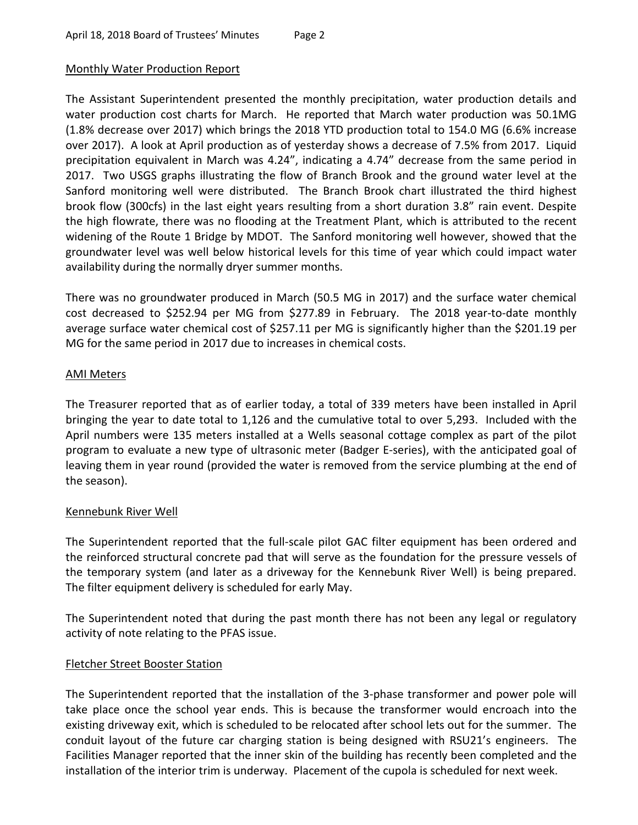## Monthly Water Production Report

The Assistant Superintendent presented the monthly precipitation, water production details and water production cost charts for March. He reported that March water production was 50.1MG (1.8% decrease over 2017) which brings the 2018 YTD production total to 154.0 MG (6.6% increase over 2017). A look at April production as of yesterday shows a decrease of 7.5% from 2017. Liquid precipitation equivalent in March was 4.24", indicating a 4.74" decrease from the same period in 2017. Two USGS graphs illustrating the flow of Branch Brook and the ground water level at the Sanford monitoring well were distributed. The Branch Brook chart illustrated the third highest brook flow (300cfs) in the last eight years resulting from a short duration 3.8" rain event. Despite the high flowrate, there was no flooding at the Treatment Plant, which is attributed to the recent widening of the Route 1 Bridge by MDOT. The Sanford monitoring well however, showed that the groundwater level was well below historical levels for this time of year which could impact water availability during the normally dryer summer months.

There was no groundwater produced in March (50.5 MG in 2017) and the surface water chemical cost decreased to \$252.94 per MG from \$277.89 in February. The 2018 year-to-date monthly average surface water chemical cost of \$257.11 per MG is significantly higher than the \$201.19 per MG for the same period in 2017 due to increases in chemical costs.

#### AMI Meters

The Treasurer reported that as of earlier today, a total of 339 meters have been installed in April bringing the year to date total to 1,126 and the cumulative total to over 5,293. Included with the April numbers were 135 meters installed at a Wells seasonal cottage complex as part of the pilot program to evaluate a new type of ultrasonic meter (Badger E-series), with the anticipated goal of leaving them in year round (provided the water is removed from the service plumbing at the end of the season).

## Kennebunk River Well

The Superintendent reported that the full-scale pilot GAC filter equipment has been ordered and the reinforced structural concrete pad that will serve as the foundation for the pressure vessels of the temporary system (and later as a driveway for the Kennebunk River Well) is being prepared. The filter equipment delivery is scheduled for early May.

The Superintendent noted that during the past month there has not been any legal or regulatory activity of note relating to the PFAS issue.

## Fletcher Street Booster Station

The Superintendent reported that the installation of the 3-phase transformer and power pole will take place once the school year ends. This is because the transformer would encroach into the existing driveway exit, which is scheduled to be relocated after school lets out for the summer. The conduit layout of the future car charging station is being designed with RSU21's engineers. The Facilities Manager reported that the inner skin of the building has recently been completed and the installation of the interior trim is underway. Placement of the cupola is scheduled for next week.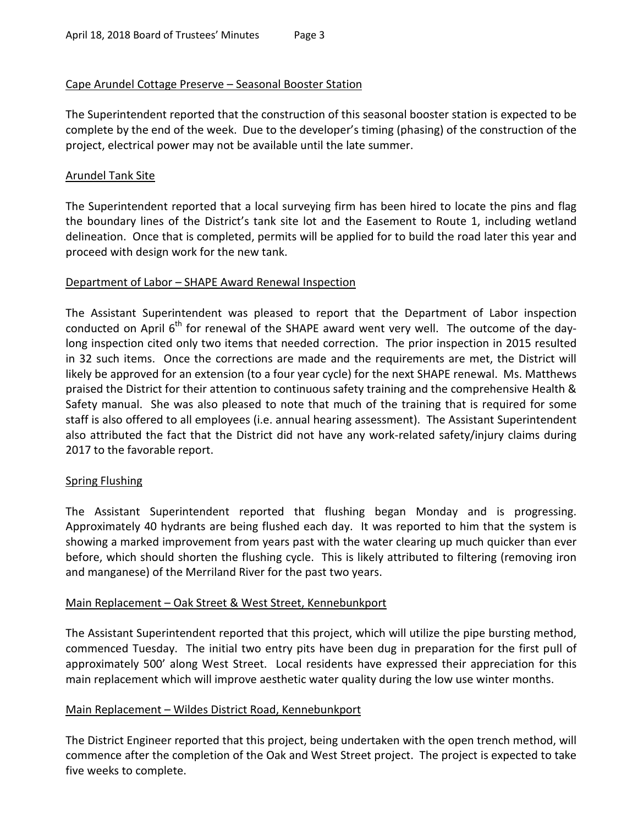## Cape Arundel Cottage Preserve – Seasonal Booster Station

The Superintendent reported that the construction of this seasonal booster station is expected to be complete by the end of the week. Due to the developer's timing (phasing) of the construction of the project, electrical power may not be available until the late summer.

## Arundel Tank Site

The Superintendent reported that a local surveying firm has been hired to locate the pins and flag the boundary lines of the District's tank site lot and the Easement to Route 1, including wetland delineation. Once that is completed, permits will be applied for to build the road later this year and proceed with design work for the new tank.

## Department of Labor – SHAPE Award Renewal Inspection

The Assistant Superintendent was pleased to report that the Department of Labor inspection conducted on April 6<sup>th</sup> for renewal of the SHAPE award went very well. The outcome of the daylong inspection cited only two items that needed correction. The prior inspection in 2015 resulted in 32 such items. Once the corrections are made and the requirements are met, the District will likely be approved for an extension (to a four year cycle) for the next SHAPE renewal. Ms. Matthews praised the District for their attention to continuous safety training and the comprehensive Health & Safety manual. She was also pleased to note that much of the training that is required for some staff is also offered to all employees (i.e. annual hearing assessment). The Assistant Superintendent also attributed the fact that the District did not have any work-related safety/injury claims during 2017 to the favorable report.

## Spring Flushing

The Assistant Superintendent reported that flushing began Monday and is progressing. Approximately 40 hydrants are being flushed each day. It was reported to him that the system is showing a marked improvement from years past with the water clearing up much quicker than ever before, which should shorten the flushing cycle. This is likely attributed to filtering (removing iron and manganese) of the Merriland River for the past two years.

## Main Replacement – Oak Street & West Street, Kennebunkport

The Assistant Superintendent reported that this project, which will utilize the pipe bursting method, commenced Tuesday. The initial two entry pits have been dug in preparation for the first pull of approximately 500' along West Street. Local residents have expressed their appreciation for this main replacement which will improve aesthetic water quality during the low use winter months.

## Main Replacement – Wildes District Road, Kennebunkport

The District Engineer reported that this project, being undertaken with the open trench method, will commence after the completion of the Oak and West Street project. The project is expected to take five weeks to complete.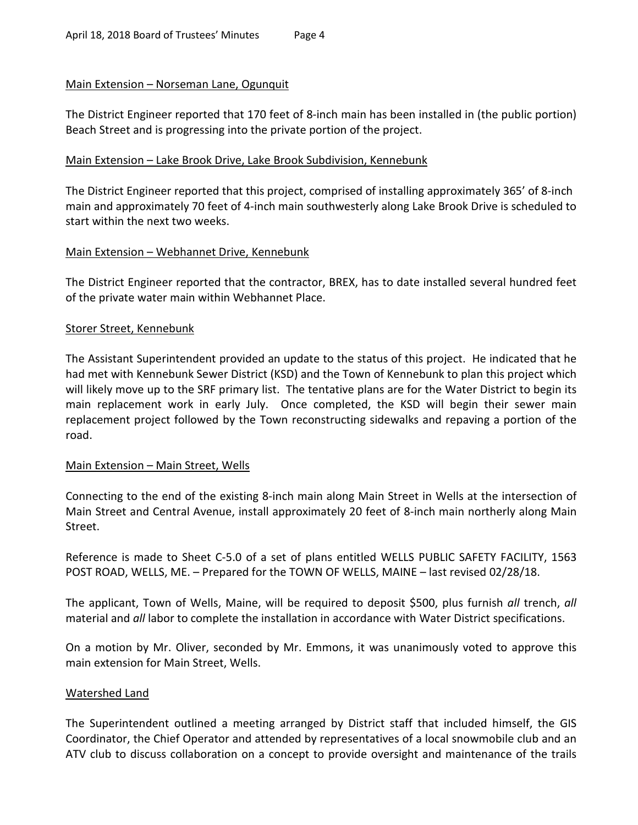## Main Extension – Norseman Lane, Ogunquit

The District Engineer reported that 170 feet of 8-inch main has been installed in (the public portion) Beach Street and is progressing into the private portion of the project.

## Main Extension – Lake Brook Drive, Lake Brook Subdivision, Kennebunk

The District Engineer reported that this project, comprised of installing approximately 365' of 8-inch main and approximately 70 feet of 4-inch main southwesterly along Lake Brook Drive is scheduled to start within the next two weeks.

## Main Extension – Webhannet Drive, Kennebunk

The District Engineer reported that the contractor, BREX, has to date installed several hundred feet of the private water main within Webhannet Place.

#### Storer Street, Kennebunk

The Assistant Superintendent provided an update to the status of this project. He indicated that he had met with Kennebunk Sewer District (KSD) and the Town of Kennebunk to plan this project which will likely move up to the SRF primary list. The tentative plans are for the Water District to begin its main replacement work in early July. Once completed, the KSD will begin their sewer main replacement project followed by the Town reconstructing sidewalks and repaving a portion of the road.

## Main Extension – Main Street, Wells

Connecting to the end of the existing 8-inch main along Main Street in Wells at the intersection of Main Street and Central Avenue, install approximately 20 feet of 8-inch main northerly along Main Street.

Reference is made to Sheet C-5.0 of a set of plans entitled WELLS PUBLIC SAFETY FACILITY, 1563 POST ROAD, WELLS, ME. – Prepared for the TOWN OF WELLS, MAINE – last revised 02/28/18.

The applicant, Town of Wells, Maine, will be required to deposit \$500, plus furnish *all* trench, *all* material and *all* labor to complete the installation in accordance with Water District specifications.

On a motion by Mr. Oliver, seconded by Mr. Emmons, it was unanimously voted to approve this main extension for Main Street, Wells.

## Watershed Land

The Superintendent outlined a meeting arranged by District staff that included himself, the GIS Coordinator, the Chief Operator and attended by representatives of a local snowmobile club and an ATV club to discuss collaboration on a concept to provide oversight and maintenance of the trails